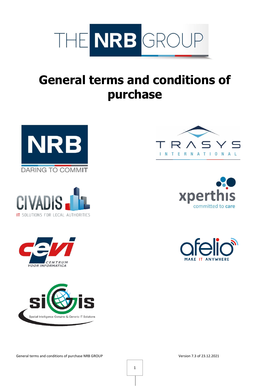

# **General terms and conditions of purchase**















General terms and conditions of purchase NRB GROUP Version 7.3 of 23.12.2021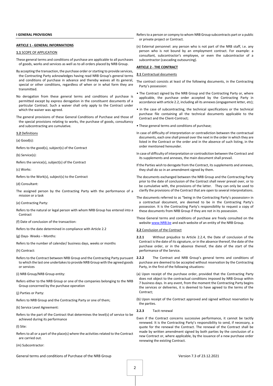#### **ARTICLE 1 - GENERAL INFORMATIONS**

#### **1.1** SCOPE OF APPLICATION

- These general terms and conditions of purchase are applicable to all purchases of goods, works and services as well as to all orders placed by NRB Group.
- By accepting the transaction, the purchase order or starting to provide services, the Contracting Party acknowledges having read NRB Group's general terms and conditions of purchase in advance and thereby waives all its general, special or other conditions, regardless of when or in what form they are transmitted.
- No derogation from these general terms and conditions of purchase is permitted except by express derogation in the constituent documents of a particular Contract. Such a waiver shall only apply to the Contract under which the waiver was agreed.
- The general provisions of these General Conditions of Purchase and those of the special provisions relating to works, the purchase of goods, consultancy and subcontracting are cumulative.

**1.2** Definitions

(a) Good(s):

Refers to the good(s), subject(s) of the Contract

(b) Service(s):

Refers the service(s), subject(s) of the Contract

(c) Works:

Refers to the Work(s), subject(s) to the Contract

(d) Consultant:

The assigned person by the Contracting Party with the performance of a mission or a task

(e) Contracting Party:

- Refers to the natural or legal person with whom NRB Group has entered into a Contract
- (f) Date of conclusion of the transaction:
- Refers to the date determined in compliance with Article 2.2
- (g) Days- Weeks Months:
- Refers to the number of calendar/ business days, weeks or months

(h) Contract:

Refers to the Contract between NRB Group and the Contracting Party pursuant 2.2.2 to which the last one undertakes to provide NRB Group with the agreed goods or services

(i) NRB Group/NRB Group entity:

Refers either to the NRB Group or one of the companies belonging to the NRB Group concerned by the purchase operation

(j) Parties or Party:

Refers to NRB Group and the Contracting Party or one of them;

(k) Service Level Agreement:

Refers to the part of the Contract that determines the level(s) of service to be achieved during its performance

(l) Site:

Refers to all or a part of the place(s) where the activities related to the Contract are carried out.

(m) Subcontractor:

Refers to a person or compny to whom NRB Group subcontracts part or a public or private project or Contract.

(n) External personnel: any person who is not part of the NRB staff, i.e. any person who is not bound by an employment contract. For example: a consultant, subcontractor's employee, or even the subcontractor of a subcontractor (cascading outsourcing).

# **ARTICLE 2 - THE CONTRACT**

#### **2.1** Contractual documents

- The contract consists at least of the following documents, in the Contracting Party's possession:
- The Contract signed by the NRB Group and the Contracting Party or, where applicable, the purchase order accepted by the Contracting Party in accordance with article 2.2, including all its annexes (engagement letter, etc);
- in the case of subcontracting, the technical specifications or the technical purchase file containing all the technical documents applicable to the Contract and the Client-Contract;
- These general terms and conditions of purchase;
- In case of difficulty of interpretation or contradiction between the contractual documents, each one shall prevail over the next in the order in which they are listed in the Contract or the order and in the absence of such listing, in the order mentioned hereunder.
- In case of difficulty of interpretation or contradiction between the Contract and its supplements and annexes, the main document shall prevail.
- If the Parties wish to derogate from the Contract, its supplements and annexes, they shall do so in an amendment signed by them.
- The documents exchanged between the NRB Group and the Contracting Party prior to the date of conclusion of the Contract shall never prevail over, or to be cumulative with, the provisions of the latter. They can only be used to clarify the provisions of the Contract that are open to several interpretations.
- The documents referred to as "being in the Contracting Party's possession» in a contractual document, are deemed to be in the Contracting Party's possession. It is the Contracting Party's responsibility to request a copy of these documents from NRB Group if they are not in its possession.
- These General terms and conditions of purchase are freely consulted on the websit[e www.NRB.be](http://www.nrb.be/) and each website of an entity of the NRB Group.

#### **2.2** Conclusion of the Contract

- **2.2.1** Without prejudice to Article 2.2.4, the Date of conclusion of the Contract is the date of its signature, or in the absence thereof, the date of the purchase order, or in the absence thereof, the date of the start of the performance of the Service.
- **2.2.2** The Contract and NRB Group's general terms and conditions of purchase are deemed to be accepted without reservation by the Contracting Party, in the first of the following situations:
- (a) Upon receipt of the purchase order, provided that the Contracting Party does not object to the contractual conditions imposed by NRB Group within 7 business days. In any event, from the moment the Contracting Party begins the services or deliveries, it is deemed to have agreed to the terms of the Contract;

(b) Upon receipt of the Contract approved and signed without reservation by the parties.

**2.2.3** Tacit renewal

Even if the Contract concerns successive performance, it cannot be tacitly renewed. It is the Contracting Party's responsibility to send, if necessary, a quote for the renewal the Contract. The renewal of the Contract shall be made by written amendment signed by both parties by the conclusion of a new Contract or, where applicable, by the issuance of a new purchase order renewing the existing Contract.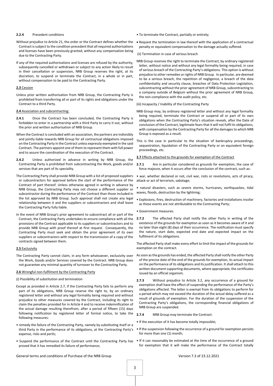#### **2.2.4** Precedent conditions

- Without prejudice to Article 21, the order or the Contract defines whether the Contract is subject to the condition precedent that all required authorisations and licenses have been previously granted, without any compensation being due to the Contracting Party.
- If any of the required authorisations and licenses are refused by the authority, subsequently cancelled or withdrawn or subject to any action likely to result in their cancellation or suspension, NRB Group reserves the right, at its discretion, to suspend or terminate the Contract, in a whole or in part, without compensation to be paid to the Contracting Party.

#### **2.3** Cession

Unless prior written authorisation from NRB Group, the Contracting Party is prohibited from transferring all or part of its rights and obligations under the Contract to a third Party.

#### **2.4** Association and subcontracting:

- 2.4.1 Once the Contract has been concluded, the Contracting Party is forbidden to enter in a partnership with a third Party to carry it out, without the prior and written authorisation of NRB Group.
- When the Contract is concluded with an association, the partners are indivisibly and jointly liable towards NRB Group for all contractual obligations imposed on the Contracting Party in the Contract unless expressly exempted in the said Contract. The partners appoint one of them to represent them with full power and to assure the coordination of the execution of the Contract.
- **2.4.2** Unless authorized in advance in writing by NRB Group, the Contracting Party is prohibited from subcontracting the Work, goods and/or services that are part of its speciality.
- The Contracting Party shall provide NRB Group with a list of proposed suppliers or subcontractors for approval before the start of the performance of the Contract of part thereof. Unless otherwise agreed in writing in advance by NRB Group, the Contracting Party may not choose a different supplier or subcontractor during the performance of the Contract than those included in the list approved by NRB Group. Such approval shall not create any legal relationship between it and the suppliers or subcontractors and shall leave the Contracting Party fully liable.
- In the event of NRB Group's prior agreement to subcontract all or part of the Contract, the Contracting Party undertakes to ensure compliance with all the provisions of the Contract applicable to its suppliers or subcontractors and to provide NRB Group with proof thereof at first request. Consequently, the Contracting Party must seek and obtain the prior agreement of its own suppliers or subcontractors with respect to the transmission of a copy of the contracts signed between them.

#### **2.5** Exclusivity

The Contracting Party cannot claim, in any form whatsoever, exclusivity over the Work, Goods and/or Services covered by the Contract. NRB Group does not guarantee any minimal quantity of turnover to the Contracting Party.

#### **2.6** Wrongful non-fulfilment by the Contracting Party

#### (i) Possibility of substitution and termination

- Except as provided in Article 2.7, if the Contracting Party fails to perform any part of its obligations, NRB Group reserve the right to, by an ordinary registered letter and without any legal formality being required and without prejudice to other measures covered by the Contract, including its right to claim the penalties provided for in Article 4 and to receive indemnification of the actual damage resulting therefrom, after a period of fifteen (15) days following notification by registered letter of formal notice, to take the following measures:
- remedy the failure of the Contracting Party, namely by substituting itself or a third Party in the performance of its obligations, at the Contracting Party's expense, risks and perils;
- proved that it has remedied its failure of performance;
- To terminate the Contract, partially or entirely;
- Request the termination in law thereof with the application of a contractual penalty or equivalent compensation to the damage actually suffered.

#### (ii) Termination in case of serious breach

NRB Group reserves the right to terminate the Contract, by ordinary registered letter, without notice and without any legal formality being required, in case of serious breach of the Contracting Party's obligations. This option is without prejudice to other remedies or rights of NRB Group. In particular, are deemed to be a serious breach, the repetition of negligence, a breach of the data confidentiality and security clause, breaches of Data Protection Legislation, subcontracting without the prior agreement of NRB Group, subcontracting to a company outside of Belgium without the prior agreement of NRB Group, the non-compliance with the audit policy, etc.

#### (iii) Incapacity / Inability of the Contracting Party

- NRB Group may, by ordinary registered letter and without any legal formality being required, terminate the Contract or suspend all or part of its own obligations when the Contracting Party's situation reveals, after the Date of conclusion of the Contract, legitimate fears that it will not fulfil its obligations, with compensation by the Contracting Party for all the damages to which NRB Group is exposed as a result.
- This is the case in particular to the situation of bankruptcy proceedings, sequestration, liquidation of the Contracting Party or an equivalent foreign proceedings, etc.

# **2.7** Effects attached to the grounds for exemption of the Contract

- **2.7.1** Are in particular considered as grounds for exemption, the case of force majeure, when it occurs after the conclusion of the contract, such as:
- war, whether declared or not, civil war, riots or revolutions, acts of piracy, attack or act of terrorism, sabotage;
- natural disasters, such as severe storms, hurricanes, earthquackes, tidal waves, floods, destruction by the lightning;
- Explosions, fires, destruction of machinery, factories and installations insofar as these events are not attributable to the Contracting Party;
- Government measures.
- **2.7.2** The affected Party shall notify the other Party in writing of the existence of the grounds for exemption as soon as it becomes aware of it and no later than eight (8) days of their occurrence. The notification must specify the nature, start date, expected end date and expected impact on the fulfilment of its obligations.

The affected Party shall make every effort to limit the impact of the grounds for exemption on the contract.

- As soon asthe grounds has ended, the affected Party shall notify the other Party of the precise date of the end of the grounds for exemption, its actual impact on the performance of its obligations and its justification. It shall attach to this written document supporting documents, where appropriate, the certificates issued by an official organism.
- **2.7.3** Without prejudice to Article 3.2, any occurrence of a ground for exemption shall have the effect of suspending the performance of the Party's obligations affected. The latter is exempt from its obligations to perform for a period which may not exceed the duration of the actual delay suffered as a result of grounds of exemption. For the duration of the suspension of the Contracting Party's obligations, the corresponding financial obligations of NRB Group are suspended.

#### **2.7.4** NRB Group may terminate the Contract:

- If the execution of it has become totally impossible;
- If the suspension following the occurrence of a ground for exemption persists for more than one (1) month;
- Suspend the performance of the Contract until the Contracting Party has If it can reasonably be estimated at the time of the occurrence of a ground for exemption that it will make the performance of the Contract totally

General terms and conditions of Purchase of the NRB Group Version 7.3 of 23.12.2021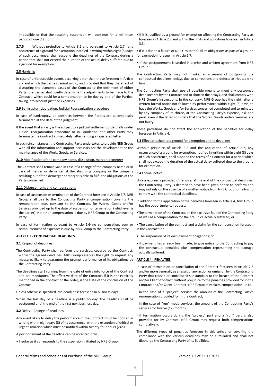period of one (1) month.

**2.7.5** Without prejudice to Article 3.2 and pursuant to Article 2.7., any occurrence of a ground for exemption, notified in writing within eight (8) days of such occurrence, shall suspend the deadlines of the Contract during a period that shall not exceed the duration of the actual delay suffered due to a ground for exemption.

#### **2.8** Hardship

In case of unforeseeable events occurring other than those foreseen in Article 2.7 and which the parties cannot avoid, and provided that they the effect of disrupting the economic bases of the Contract to the detriment of either Party, the parties shall jointly determine the adjustments to be made to the Contract, which could be a compensation to be due by one of the Parties, taking into account justified expenses.

#### **2.9** Bankruptcy, Liquidation, Judicial Reorganisation procedure

- In case of bankruptcy, all contracts between the Parties are automatically terminated at the date of the judgment.
- If the event that a Party is the subject to a judicial settlement order, falls under judicial reorganisation procedure or in liquidation, the other Party may terminate the Contract immediately, after sending a registered letter.
- In such circumstances, the Contracting Party undertakes to provide NRB Group with all the information and support necessary for the development or the maintenance of the Work, Goods, or Services.

#### **2.10** Modification of the company name, dissolution, merger, demerger

The Contract shall remain valid in case of a change of the company name or in case of merger or demerger, if the absorbing company or the company resulting out of the demerger or merger is able to fulfil the obligations of the Party concerned.

## **2.11** Disbursements and compensations

- In case of suspension or termination of the Contract foreseen in Article 2.7, NRB Group shall pay to the Contracting Party a compensation covering the remuneration due, pursuant to the Contract, for Works, Goods and/or Services provided up to the date of suspension or termination (whichever is the earlier). No other compensation is due by NRB Group to the Contracting Party.
- In case of termination pursuant to Article 2.6 no compensation, sum or reimbursement of expenses is due by NRB Group to the Contracting Party.

#### **ARTICLE 3 - CONTRACTUAL DEADLINES**

#### **3.1** Respect of deadlines

- The Contracting Party shall perform the services, covered by the Contract, within the agreed deadlines. NRB Group reserves the right to request any measures likely to guarantee the prompt performance of its obligations by the Contracting Party.
- The deadlines start running from the date of entry into force of the Contract and are mandatory. The effective date of the Contract, if it is not explicitly mentioned in the Contract or the order, is the Date of the conclusion of the **Contract.**

Unless otherwise specified, the deadline is foreseen in business days.

When the last day of a deadline is a public holiday, the deadline shall be postponed until the end of the first next business day.

#### **3.2** Delay – Change of deadlines

- Any event likely to delay the performance of the Contract must be notified in writing within eight days (8) of its occurrence, with the exception of critical or urgent situation which must be notified within twenty-four hours (24h).
- A postponement of the deadline can be accepted only:
- Insofar as it corresponds to the suspension initiated by NRB Group;
- impossible or that the resulting suspension will continue for a minimum If it is justified by a ground for exemption affecting the Contracting Party as foreseen in Article 2.7 and within the limits and conditions foreseen in Article 3.3;
	- If it is due to a failure of NRB Group to fulfil its obligations as part of a ground for exemption foreseen in Article 2.7;
	- If the postponement is settled in a prior and written agreement from NRB Group.
	- The Contracting Party may not invoke, as a reason of postponing the contractual deadlines, delays due to corrections and defects attributable to him.
	- The Contracting Party shall use all possible means to meet any postponed deadlines set by the Contract and to shorten the delays, and shall comply with NRB Group's instructions. In the contrary, NRB Group has the right, after a written formal notice not followed by performance within eight (8) days, to have the Works, Goods and/or Services concerned completed and terminated by any company of its choice, at the Contracting Party's expense, risk and peril, even if the latter considers that the Works, Goods and/or Services are not faulty.
	- These provisions do not affect the application of the penalties for delay foreseen in Article 4.

#### **3.3** Effect attached to a ground for exemption on the deadlines

Without prejudice of Article 3.2 and the application of Article 2.7, any occurrence of a ground for exemption, notified in writing within eight (8) days of such occurrence, shall suspend the terms of a Contract for a period which shall not exceed the duration of the actual delay suffered due to the ground for exemption.

#### **3.4** Formal notice

- Unless expressly provided otherwise, at the end of the contractual deadlines, the Contracting Party is deemed to have been given notice to perform and may not rely on the absence of a written notice from NRB Group for failing to comply with the contractual deadlines.
- In addition to the application of the penalties foreseen in Article 4, NRB Group has the opportunity to request:
- •The termination of the Contract, on the exclusive fault of the Contracting Party as well as a compensation for the prejudice actually suffered; or
- The cancellation of the contract and a claim for the compensation foreseen in the Contract; or
- The suspension of its own payment obligations; or
- If payment has already been made, to give notice to the Contracting to pay the contractual penalties plus compensation representing the damage actually suffered.

#### **ARTICLE 4 - PENALTIES**

- In case of termination or cancellation of the Contract foreseen in Article 2.6 and/or more generally as a result of any action or omission by the Contracting Party that caused or contributed substantially to the breach of the Contract and/or Client-Contract, without prejudice to the penalties provided for in the Contract and/or Client-Contract, NRB Group may claim compensation up to:
- in the case of a "project" service: the amount of the Contracting Party's remuneration provided for in the Contract,
- in the case of "run" mode services: the amount of the Contracting Party's services for twelve (12) months.
- If termination occurs during the "project" part and a "run" part is also provided for by Contract, NRB Group may request both compensations cumulatively.
- The different types of penalties foreseen in this article or covering the compliance with the various deadlines may be cumulated and shall not discharge the Contracting Party of its liabilities.

General terms and conditions of Purchase of the NRB Group Version 7.3 of 23.12.2021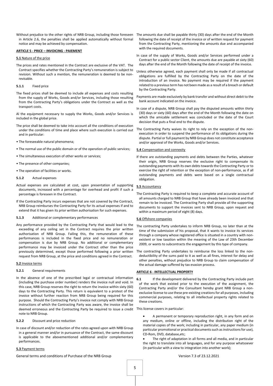in Article 2.6, the penalties shall be applied automatically without formal notice and may be achieved by compensation.

#### **ARTICLE 5 - PRICE – INVOICING - PAIEMENT**

#### **5.1** Nature of the price

The prices and rates mentioned in the Contract are exclusive of the VAT. The Contract specifies whether the Contracting Party's remuneration is subject to revision. Without such a mention, the remuneration is deemed to be nonrevisable.

#### **5.1.1** Fixed price

The fixed prices shall be deemed to include all expenses and costs resulting from the supply of Works, Goods and/or Services, including those resulting from the Contracting Party's obligations under the Contract as well as the transport costs.

Al the equipment necessary to supply the Works, Goods and/or Services is included in the global price.

- The price shall be deemed to take into account all the conditions of execution under the conditions of time and place where such execution is carried out and in particular:
- The foreseeable natural phenomena;
- The normal use of the public domain or of the operation of public services;
- The simultaneous execution of other works or services;
- The presence of other companies;
- The operation of facilities or works.
- **5.1.2** Actual expenses
- Actual expenses are calculated at cost, upon presentation of supporting documents, increased with a percentage for overhead and profit if such a percentage is foreseen in the Contract.
- If the Contracting Party incurs expenses that are not covered by the Contract, NRB Group reimburses the Contracting Party for its actual expenses if and to extend that it has given its prior written authorisation for such expenses.

#### **5.1.3** Additional or complementary performances

Any performance provided by the Contracting Party that would lead to the exceeding of any ceiling set in the Contract requires the prior written authorisation of NRB Group. Failing this, the remuneration of these performances is included in the fixed price and no remuneration or compensation is due by NRB Group. No additional or complementary performance may be invoiced under the Contract other than the price previously determined, except those performed following a prior written request from NRB Group, at the price and conditions agreed in the Contract.

#### **5.2** Invoice terms

#### **5.2.1** General requirements

In the absence of one of the prescribed legal or contractual information (including the purchase order number) renders the invoice null and void. In this case, NRB Group reserves the right to return the invoice within sixty (60) days to the Contracting Party. This return is equivalent to a protest of the invoice without further reaction from NRB Group being required for this purpose. Should the Contracting Party's invoice not comply with NRB Group instructions of which the Contracting Party was aware, the invoice shall be deemed erroneous and the Contracting Party be required to issue a credit note to NRB Group.

# **5.2.2** Discount and price reduction

In case of discount and/or reduction of the rates agreed upon with NRB Group in a general manner and/or in pursuance of the Contract, the same discount is applicable to the abovementioned additional and/or complementary performances.

#### **5.3** Payment terms

General terms and conditions of Purchase of the NRB Group Version 7.3 of 23.12.2021

- Without prejudice to the other rights of NRB Group, including those foreseen The amounts due shall be payable thirty (30) days after the end of the Month following the date of receipt of the invoice or of written request for payment from the Contracting Party, mentioning the amounts due and accompanied with the required documents.
	- In case of the supply of Works, Goods and/or Services performed under a Contract for a public sector Client, the amounts due are payable at sixty (60) days after the end of the Month following the date of receipt of the invoice.
	- Unless otherwise agreed, each payment shall only be made if all contractual obligations are fulfilled by the Contracting Party on the date of the introduction of an invoice. No payment may be required if the payment related to a previous term has not been made as a result of a breach or default by the Contracting Party.
	- Payments are made exclusively by bank transfer and without direct debit to the bank account indicated on the invoice.
	- In case of a dispute, NRB Group shall pay the disputed amounts within thirty (30) days or sixty (60) days after the end of the Month following the date on which the amicable settlement was concluded or the date of the Court decision that puts a final end to the dispute.
	- The Contracting Party waives its right to rely on the exception of the nonexecution in order to suspend the performance of its obligations during the dispute. Partial or full payment by NRB Group does not constitute acceptance and/or approval of the Works, Goods and/or Services.

#### **5.4** Compensation and connexity

If there are outstanding payments and debts between the Parties, whatever their origin, NRB Group reserves the exclusive right to compensate its outstanding payments with its own debts towards the Contracting Party or to exercise the right of retention or the exception of non-performance, as if all outstanding payments and debts were based on a single contractual obligation.

#### **5.5** Accountancy

The Contracting Party is required to keep a complete and accurate account of all amounts charged to NRB Group that have already been invoiced and that remain to be invoiced. The Contracting Party shall provide all the supporting documents to support the invoices sent to NRB Group, upon request and within a maximum period of eight (8) days.

## **5.6** Offshore companies

- The contracting Party undertakes to inform NRB Group, no later than at the time of the submission of his proposal, that it wants to invoice its services through a company whose registered office is situated in a country with nonexistent or low taxation within the meaning of the Law of 23th December 2009, or wants to subcontracts the engagement by this type of company.
- The contracting Party undertakes to reimburse the loss linked to the nondeductibility of the sums paid to it as well as all fines, interest for delay and other penalties, without prejudice to NRB Group to claim compensation of the actual damage suffered by tax evasion process.

# **ARTICLE 6 - INTELLECTUAL PROPERTY**

**6.1** If the development delivered by the Contracting Party include part of the work that existed prior to the execution of the assignment, the Contracting Party and/or the Consultant hereby grant NRB Group a nonexclusive license to use these pre-existing creations for all purposes, including commercial purposes, relating to all intellectual property rights related to these creations.

This license covers in particular:

- A permanent or temporary reproduction right, in any form and on any medium, online or offline, including the distribution right of the material copies of the work; including in particular, any paper medium (in particular promotional or practical documents such as instructions for use), CD-Rom, DVD, database,etc;
- The right of adaptation in all forms and all media, and in particular the right to translate into all languages, and for any purpose whatsoever (in particular with a view to integration into another work);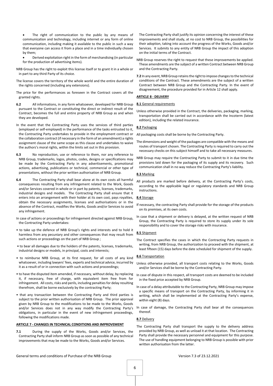- The right of communication to the public by any means of communication and technology, including internet or any form of online communication, including making it available to the public in such a way that everyone can access it from a place and in a time individually chosen by them;
- Derived exploitation right in the form of merchandising (in particular for the production of advertising items).
- NRB Group has the right to exploit this license itself or to grant it in a whole or in part to any third Party of its choice.
- The license covers the territory of the whole world and the entire duration of the rights concerned (including any extensions).
- The price for the performances as foreseen in the Contract covers all the granted rights.
- **6.2** All informations, in any form whatsoever, developed for NRB Group pursuant to the Contract or constituting the direct or indirect result of the Contract, becomes the full and entire property of NRB Group as and when they are developed.
- In the event that the Contracting Party uses the services of third parties (employed or self-employed) in the performance of the tasks entrusted to it, the Contracting Party undertakes to provide in the employment contract or the collaboration contract (if necessary in the form of an amendment) a rights assignment clause of the same scope as this clause and undertakes to waive the authors's moral rights, within the limits set out in this provision.
- **6.3** No reproduction, use or reference to them, nor any reference to NRB Group, trademarks, logos, photos, codes, designs or specifications may be made by the Contracting Party in any advertisements, promotional actions, advertising, publications or technical, commercial or other type of presentations, without the prior written authorisation of NRB Group.
- **6.4** The Contracting Party shall bear alone at its own costs all harmful consequences resulting from any infringement related to the Work, Goods and/or Services covered in whole or in part by patents, licenses, trademarks, industrial designs and models. The Contracting Party shall ensure that it enters into an arrangement with their holder at its own cost, pays royalties, obtain the necessary assignments, licenses and authorisations or in the absence of the Contract, modifies the Works, Goods and/or Services to avoid any infringement.
- In case of actions or proceedings for infringement directed against NRB Group, the Contracting Party undertakes:
- to take up the defence of NRB Group's rights and interests and to hold it harmless from any pecuniary and other consequences that may result from such actions or proceedings on the part of NRB Group ;
- to bear all damages due to the holders of the patents, licenses, trademarks, industrial designs or models, in principal, costs and interests;
- to reimburse NRB Group, at its first request, for all costs of any kind whatsoever, including lawyers' fees, experts and technical advice, incurred by it as a result of or in connection with such actions and proceedings;
- to have the disputed item amended, if necessary, without delay, by replacing it, if necessary, free of charge, with equivalent item free from for infringement. All costs, risks and perils, including penalties for delay resulting therefrom, shall be borne exclusively by the contracting Party;
- that any transaction between the Contracting Party and third parties is subject to the prior written authorisation of NRB Group. The prior approval given by NRB Group to the modifications to be made to the Works, Goods and/or Services does not in any way modify the Contracting Party's obligations, in particular in the event of new infringement proceedings, following the modifications made.

#### **ARTICLE 7 - CHANGES IN TECHNICAL CONDITIONS AND IMPROVEMENT**

**7.1** During the supply of the Works, Goods and/or Services, the Contracting Party shall inform NRB Group as soon as possible of any technical improvements that may be made to the Works, Goods and/or Services.

The Contracting Party shall justify its opinion concerning the interest of these improvements and shall study, at no cost to NRB Group, the possibilities for their adoption, taking into account the progress of the Works, Goods and/or Services. It submits to any entity of NRB Group the impact of this adoption on the initial terms of the Contract.

- NRB Group reserves the right to request that these improvements be applied. These amendments are the subject of a written Contract between NRB Group and the Contracting Party.
- **7.2** In any event, NRB Group retains the right to impose changes to the technical conditions of the Contract. These amendments are the subject of a written Contract between NRB Group and the Contracting Party. In the event of disagreement, the procedure provided for in Article 12 shall apply.

# **ARTICLE 8 - DELIVERY**

# **8.1** General requirements

Unless otherwise provided in the Contract, the deliveries, packaging, marking, transportation shall be carried out in accordance with the Incoterm (latest edition), including the related insurance.

# **8.2** Packaging

All packaging costs shall be borne by the Contracting Party.

- The dimensions and weight of the packages are compatible with the means and routes of transport chosen. The Contracting Party is required to carry out the necessary checks on this subject himself and to take all necessary measures.
- NRB Group may require the Contracting Party to submit to it in due time the provisions laid down for the packaging of its supply and its recovery. Such communication shall in no way reduce the Contracting Party's liability.

#### **8.3** Marking

All products are marked before delivery, at the Contracting Party's costs, according to the applicable legal or regulatory standards and NRB Group instructions.

#### **8.4** Storage

- If necessary, the contracting Party shall provide for the storage of the products on its premises, at its own costs.
- In case that a shipment or delivery is delayed, at the written request of NRB Group, the Contracting Party is required to store its supply under its sole responsibility and to cover the storage risks with insurance.

# **8.5** Shipment

The Contract specifies the cases in which the Contracting Party requests in writing, from NRB Group, the authorization to proceed with the shipment, at least fifteen (15) days before the date scheduled for shipment of the supply.

# **8.6** Transportation

- Unless otherwise provided, all transport costs relating to the Works, Goods and/or Services shall be borne by the Contracting Party.
- In case of dispute in this respect, all transport costs are deemed to be included in the fixed price accepted by NRB Group.
- In case of a delay attributable to the Contracting Party, NRB Group may impose a specific means of transport on the Contracting Party, by informing it in writing, which shall be implemented at the Contracting Party's expense, within eight (8) days.

In case of damage, the Contracting Party shall bear all the consequences thereof.

#### **8.7** Delivery

The Contracting Party shall transport the supply to the delivery address provided by NRB Group, as well as unload it at that location. The Contracting Party shall provide the necessary personnel and equipment for this purpose. The use of handling equipment belonging to NRB Group is possible with prior written authorisation from the latter.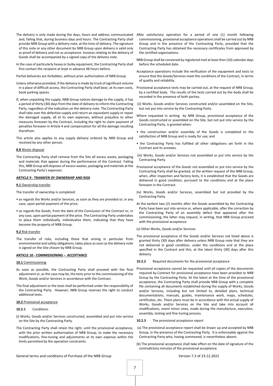- The delivery is only made during the days, hours and address communicated and, failing that, during business days and hours. The Contracting Party shall provide NRB Group with a delivery note, at the time of delivery. The signature of this note or any other document by NRB Group upon delivery is valid only as proof of delivery and not as acceptance. Invoices relating to the delivery of Goods shall be accompanied by a signed copy of the delivery note.
- In the case of particularly heavy or bulky equipment, the Contracting Party shall first contact the recipient at least in advance 48 hours before.

Partial deliveries are forbidden, without prior authorisation of NRB Group.

- Unless otherwise provided, if the delivery is made by truck of significant volume in a place of difficult access, the Contracting Party shall bear, at its own costs, book parking spaces.
- If, when unpacking the supply, NRB Group notices damage to the supply, it has a period of thirty (30) days from the date of delivery to inform the Contracting Party, regardless of the indication on the delivery note. The Contracting Party shall take over the defective supply and return an equivalent supply or repair the damaged supply, all at its own expenses, without prejudice to other measures foreseen by the Contract, including the right to claim payment of penalties foreseen in Article 4 and compensation for all the damage resulting therefrom.
- This article also applies to any supply delivery ordered by NRB Group and received by any other person.

#### **8.8** Waste disposal

The Contracting Party shall remove from the Site all excess waste, packaging and materials that appear during the performance of the Contract. Failing this, NRB Group will disposes of excess wastes, packaging and materials at the Contracting Party's expenses.

# **ARTICLE 9 - TRANSFER OF OWNERSHIP AND RISK**

#### **9.1** Ownership transfer

- The transfer of ownership is completed:
- as regards the Works and/or Services, as soon as they are provided or, in any case, upon partial payment of the price;
- as regards the Goods, from the date of the Conclusion of the Contract or, in any case, upon partial payment of the price. The Contracting Party undertakes to place them individually, individualize them, indicating that they have become the property of NRB Group.

#### **9.2** Risk transfer

The transfer of risks, including those that arising in particular from environmental and safety obligations, takes place as soon as the delivery note is signed on the Site chosen by NRB Group.

#### **ARTICLE 10 - COMMISSIONING – ACCEPTANCE**

#### **10.1** Commissioning

- As soon as possible, the Contracting Party shall proceed with the final adjustment or, as the case may be, the tests prior to the commissioning of the Work, Goods and/or Services in accordance with the Contract.
- The final adjustment or the tests shall be performed under the responsibility of the Contracting Party. However, NRB Group reserves the right to conduct additional tests.

#### **10.2** Provisional acceptance

#### **10.2.1** Conditions

- (i) Works, Goods and/or Services constructed, assembled and put into service on the Site by the Contracting Party.
- The Contracting Party shall retain the right, until the provisional acceptance, with the prior written authorisation of NRB Group, to make the necessary modifications, fine-tuning and adjustments at its own expense within the limits permitted by the operation constraints.
- After satisfactory operation for a period of one (1) month following commissioning, provisional acceptance operations shall be carried out by NRB Group and in the presence of the Contracting Party, provided that the Contracting Party has obtained the necessary certificates from approved by the certified organizations.
- NRB Group shall be convened by registered mail at least then (10) calendar days before the scheduled date.
- Acceptance operations include the verification of the equipment and tests to ensure that the Goods/Services meet the conditions of the Contract, in terms of quality and reliability.
- Provisional acceptance tests may be carried out, at the request of NRB Group, by a certified body. The results of the tests carried out by the body shall be recorded in the presence of both parties.
- (ii) Works, Goods and/or Services constructed and/or assembled on the Site, but not put into service by the Contracting Party.
- Where requested in writing by NRB Group, provisional acceptance of the Goods constructed or assembled on the Site, but not put into service by the Contracting Party, is granted when:
- the construction and/or assembly of the Goods is completed to the satisfaction of NRB Group and is ready for use; and
- the Contracting Party has fulfilled all other obligations set forth in the Contract and its annexes.
- (iii) Works, Goods and/or Services not assembled or put into service by the Contracting Party.
- Provisional acceptance of the Goods not assembled or put into service by the Contracting Party shall be granted, at the written request of the NRB Group, when, after inspection and factory tests, it is established that the Goods are delivered in good condition, pursuant to the conditions and at the place foreseen in the Contract.
- (iv) Works, Goods and/or Services, assembled but not provided by the Contracting Party.
- At the earliest two (2) months after the Goods assembled by the Contracting Party have been put into service or, where applicable, after the correction by the Contracting Party of an assembly defect that appeared after the commissioning, the latter may request, in writing, that NRB Group proceed with the provisional acceptance.

#### (v) Other Works, Goods and/or Services

The provisional acceptance of the Goods and/or Services not listed above is granted thirty (30) days after delivery unless NRB Group note that they are not delivered in good condition, under the conditions and at the place specified in the Contract and this, at the latest thirty (30) days after this delivery.

**10.2.2** Required documents for the provisional acceptance

- Provisional acceptance cannot be requested until all copies of the documents required by Contract for provisional acceptance have been provided to NRB Group by the Contracting Party. At the latest at the time of the provisional acceptance, the Contracting Party shall provide NRB Group with a complete file containing all documents established during the supply of Works, Goods and/or Services, including but not limited to, detailed plans, technical documentations, manuals, guides, maintenance work, maps, schedules, certificates, etc. There plans must be in accordance with the actual supply of Works, Goods and/or Services on the Site and take into account all modifications, event minor ones, made during the manufacture, execution, assembly, testing and fine-tuning process.
- **10.2.3** The provisional acceptance report
- (a) The provisional acceptance report shall be drawn up and accepted by NRB Group, in the presence of the Contracting Party. It is enforceable against the Contracting Party who, having summoned, is nevertheless absent.
- (b) The provisional acceptance shall take effect on the date of signature of the contradictory minutes of the provisional acceptance.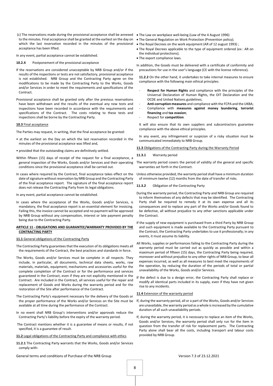(c) The reservations made during the provisional acceptance shall be annexed • The Law on workplace well-being (Law of the 4 August 1996) to the minutes. Final acceptance shall be granted at the earliest on the day on • The General Regulation on Work Protection (Prevention policy); which the last reservation recorded in the minutes of the provisional • The Royal Decrees on the work equipment (AR of 12 august 1993) ; acceptance has been lifted.

In any event, partial acceptance cannot be established.

- **10.2.4** Postponement of the provisional acceptance
- If the reservations are considered unacceptable by NRB Group and/or if the results of the inspections or tests are not satisfactory, provisional acceptance is not established. NRB Group and the Contracting Party agree on the modifications to be made by the Contracting Party to the Works, Goods and/or Services in order to meet the requirements and specifications of the Contract.
- Provisional acceptance shall be granted only after the previous reservations have been withdrawn and the results of the eventual any new tests and inspections have been recorded in accordance with the requirements and specifications of the Contract. The costs relating to these tests and inspections shall be borne by the Contracting Party.

#### **10.3** Final acceptance

The Parties may request, in writing, that the final acceptance be granted:

- at the earliest on the Day on which the last reservation recorded in the minutes of the provisional acceptance was lifted and,
- provided that the outstanding claims are definitively settled.
- Within fifteen (15) days of receipt of the request for a final acceptance, a conditions since the provisional acceptance shall be carried out.
- In cases where required by the Contract, final acceptance takes effect on the date of signature without reservation by NRB Group and the Contracting Party of the final acceptance report. The signature of the final acceptance report does not release the Contracting Party from its legal obligations.

In any event, partial acceptance cannot be established.

In cases where the acceptance of the Works, Goods and/or Services, is mandatory, the final acceptance report is an essential element for invoicing. Failing this, the invoice cannot be accepted and no payment will be approved by NRB Group without any compensation, interest or late payment penalty being due to the Contracting Party.

## **ARTICLE 11 - OBLIGATIONS AND GUARANTEE/WARRANTY PROVIDED BY THE CONTRACTING PARTY**

#### **11.1** General obligations of the Contracting Party

The Contracting Party guarantees that the execution of its obligations meets all the requirements of the Contract, the best practices and standards in force.

- The Works, Goods and/or Services must be complete in all respects. They include, in particular, all documents, technical data sheets, works, raw materials, materials, equipment, mechanisms and accessories useful for the complete completion of the Contract or for the performance and services guaranteed in the Contract, even if they are not explicitly mentioned in the Contract. Are included in the Contract, all services useful for the repair and replacement of Goods and Works during the warranty period and for the restoration of the Site after performance of the Contract.
- The Contracting Party's equipment necessary for the delivery of the Goods or available at all time during the performance of the Contract.
- In no event shall NRB Group's interventions and/or approvals reduce the Contracting Party's liability before the expiry of the warranty period.
- The Contract mentions whether it is a guarantee of means or results, if not specified, it is a guarantee of result.

#### **11.2** Legal obligations of the Contracting Party and compliance with ethics

**11.2.1** The Contracting Party warrants that the Works, Goods and/or Services comply with:

- 
- 
- 
- The Royal Decrees applicable to the type of equipment ordered (ex : AR on the individual protections);
- The export compliance laws.

In addition, the Goods must be delivered with a certificate of conformity and precautions for use in the user's language (CE with the license reference).

**11.2.2** On the other hand, it undertakes to take internal measures to ensure compliance with the following main ethical principles:

- Respect for Human Rights and compliance with the principles of the Universal Declaration of Human Rights, the OIT Declaration and the OCDE and United Nations guidelines;
- **Anti-corruption measures** and compliance with the FCPA and the UKBA;
- Compliance with **measures against money laundering**, **terrorist financing** and **tax evasion**;
- Respect for **competition**.

It will also ensure that its own suppliers and subcontractors guarantee compliance with the above ethical principles.

In any event, any infringement or suspicion of a risky situation must be communicated immediately to NRB Group.

#### **11.3** Obligations of the Contracting Party during the Warranty Period

#### **11.3.1** Warranty period

general inspection of the Works, Goods and/or Services and their operating The warranty period covers the period of validity of the general and specific warranties set forth in the Contract.

> Unless otherwise provided, the warranty period shall have a minimum duration of minimum twelve (12) months from the date of transfer of risks.

- **11.3.2** Obligation of the Contracting Party
- During the warranty period, the Contracting Party and NRB Group are required to inform themselves of any defects that may be identified. The Contracting Party shall be required to remedy it at its own expense and all its consequences and to replace any part of the Works and/or Goods found to be defective, all without prejudice to any other sanctions applicable under the Contract.
- If the supply of new equipment is purchased from a third Party by NRB Group and such equipment is made available to the Contracting Party pursuant to the Contract, the Contracting Party undertakes to use it professionally; in any events, it must assume its liability.
- All Works, supplies or performances failing to the Contracting Party during the warranty period must be carried out as quickly as possible and within a maximum period of fifteen (15) days, the Contracting Party being required, moreover and without prejudice to any other rights of NRB Group, to bear all expenses incurred, as well as all measures to best meet the requirements of the operation, by reducing the duration of the periods of total or partial unavailability of the Works, Goods and/or Services.
- If the defect is due to a design error, the Contracting Party shall replace or modify all identical parts included in its supply, even if they have not given rise to any incidents.

#### **11.4** Extension of the warranty period

- the proper performance of the Works and/or Services on the Site must be If, during the warranty period, all or a part of the Works, Goods and/or Services are unavailable, the warranty period as a whole is increased by the cumulative duration of all such unavailability periods.
	- If, during the warranty period, it is necessary to replace an item of the Works, Goods and/or Services, the warranty period shall only run for the item in question from the transfer of risk for replacement parts. The Contracting Party alone shall bear all the costs, including transport and labour costs provided by NRB Group.

General terms and conditions of Purchase of the NRB Group Version 7.3 of 23.12.2021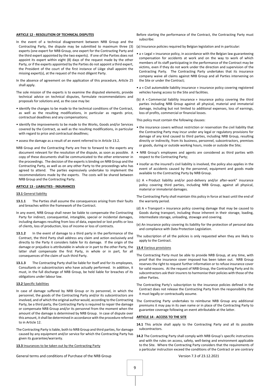## **ARTICLE 12 - RESOLUTION OF TECHNICAL DISPUTES**

- In the event of a technical disagreement between NRB Group and the Contracting Party, the dispute may be submitted to maximum three (3) experts (one expert for NRB Group, one expert for the Contracting Party and the third expert appointed by the two experts). If one of the Parties does not appoint its expert within eight (8) days of the request made by the other Party, or if the experts appointed by the Parties do not appoint a third expert, the President of the court of the first instance of Liège shall appoint the missing expert(s), at the request of the most diligent Party.
- In the absence of agreement on the application of this procedure, Article 25 shall apply.
- The sole mission of the experts is to examine the disputed elements, provide technical advice on technical disputes, formulate recommendations and proposals for solutions and, as the case may be:
- identify the changes to be made to the technical conditions of the Contract, as well as the resulting modifications, in particular as regards price, contractual deadlines and any compensations;
- identify the improvements to be made to the Works, Goods and/or Services covered by the Contract, as well as the resulting modifications, in particular with regard to price and contractual deadlines;
- assess the damage as a result of an event referred to in Article 13.2.
- NRB Group and the Contracting Party are free to forward to the experts any document relevant for the resolution of the dispute, as soon as possible. A copy of these documents shall be communicated to the other entervener in the proceedings. The decision of the expertsis binding on NRB Group and the Contracting Party, as well as on any other Party to the proceedings who has agreed to attend. The parties expressively undertake to implement the recommendations made by the experts. The costs will be shared between NRB Group and the Contracting Party.

#### **ARTICLE 13 - LIABILITIES - INSURANCES**

# **13.1** General liability

- **13.1.1** The Parties shall assume the consequences arising from their faults and breaches within the framework of the Contract.
- In any event, NRB Group shall never be liable to compensate the Contracting Party for indirect, consequential, intangible, special or incidental damages, including damages resulting from loss of data, expected or lost profits or loss of clients, loss of production, loss of income or loss of contracts.
- **13.1.2** In the event of damage to a third party in the performance of the Contract, the third Party shall address any claim and action exclusively and directly to the Party it considers liable for its damage. If the origin of the damage or prejudice is attributable in whole or in part to the other Party, the latter shall compensate the first Party, in whole or in part, for all consequences of the claim of such third Party.
- **13.1.3** The Contracting Party shall be liable for itself and for its employees, Consultants or subcontractors who have actually performed. In addition, it must, in the full discharge of NRB Group, be held liable for breaches of its obligations under labour law.

#### **13.2** Specific liabilities

- In case of damage suffered by NRB Group or its personnel, in which the personnel, the goods of the Contracting Party and/or its subcontractors are involved, and of which the original author would, according to the Contracting Party, be a third party, the Contracting Party is required to repair the damage or compensate NRB Group and/or its personnel from the moment when the amount of the damage is determined by NRB Group. In case of dispute over this amount, it shall be determined in accordance with the procedure referred to in Article 12.
- The Contracting Party is liable, both to NRB Group and third parties, for damage caused by any equipment and/or service for which the Contracting Party has given its guarantee/warranty.
- **13.3** Insurances to be taken out by the Contracting Party

General terms and conditions of Purchase of the NRB Group Version 7.3 of 23.12.2021

Before starting the performance of the Contract, the Contracting Party must subscribe:

- (a) Insurance policies required by Belgian legislation and in particular:
- a « Legal » insurance policy, in accordance with the Belgian law guaranteeing compensation for accidents at work and on the way to work of which members of its staff participating in the performance of the Contract may be victims, even if they do not work under the direction and supervision of the Contracting Party. The Contracting Party undertakes that its insurance company waive all claims against NRB Group and all Parties intervening on the Site or under the Contract;
- a « Civil automobile liability insurance » insurance policy covering registered vehicles having access to the Site and facilities.
- (b) A « Commercial liability insurance » insurance policy covering the third parties including NRB Group against all physical, material and immaterial damage, including but not limited to additional expenses, loss of earnings, loss of profits, commercial or financial losses.
- This policy must contain the following clauses:
- the insurance covers without restriction or reservation the civil liability that the Contracting Party may incur under any legal or regulatory provisions for damage of any kind caused to third parties, including NRB Group, resulting directly or indirectly, from its business, personnel, subcontractors, premises or goods, during or outside working hours, inside or outside the Site;
- NRB Group's employees and agents are considered as third parties with respect to the Contracting Party;
- insofar as the insured's civil liability is involved, the policy also applies in the event of accidents caused by the personnel, equipment and goods made available to the Contracting Party by NRB Group.
- (c) A « Product liability and/or post-delivery and/or after-work" insurance policy covering third parties, including NRB Group, against all physical, material or immaterial damages.
- The Contracting Party shall maintain this policy in force at least until the end of the warranty period.
- (d) A « Transport » insurance policy covering damage that may be caused to Goods during transport, including those inherent in their storage, loading, intermediate storage, unloading, stowage and covering.
- (e) An insurance policy covering its liability for the protection of personal data and compliance with Data Protection Legislation.
- The subscription of all the policies is only requested when they are likely to apply to the Contract.

#### **13.4** Various provisions

- The Contracting Party must be able to provide NRB Group, at any time, with proof that the insurance cover imposed has been taken out. NRB Group reserves the right to request further information or to refuse insurance cover for valid reasons. At the request of NRB Group, the Contracting Party and its subcontractors ask their insurers to harmonise their policies with those of the other Parties.
- The Contracting Party's subscription to the insurance policies defined in the Contract does not release the Contracting Party from the responsibility that it must legally or contractually assume.
- The Contracting Party undertakes to reimburse NRB Group any additional premiums it may pay in its own name or in place of the Contracting Party to guarantee coverage following an event attributable at the latter.

# **ARTICLE 14 - ACCESS TO THE SITE**

**14.1** This article shall apply to the Contracting Party and all its possible subcontractors.

**14.2** The Contracting Party shall comply with NRB Group's specific instructions and with the rules on access, safety, well-being and environment applicable to the Site. Where the Contracting Party considers that the requirements of a particular instruction exceed the conditions of the Contract or are contrary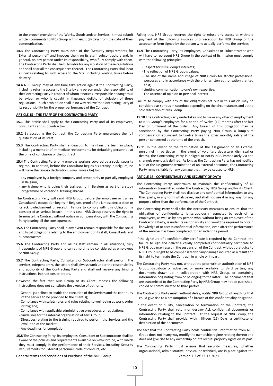written comments to NRB Group within eight (8) days from the date of their communication.

- External personnel" and imposes them on its staff, subcontractors and, in general, on any person under its responsibility, who fully comply with them. The Contracting Party shall be fully liable for any violation of these regulations and shall bear all the consequences thereof. The Contracting Party shall bear all costs relating to such access to the Site, including waiting times before delivery.
- **14.4** NRB Group may at any time take action against the Contracting Party, including refusing access to the Site by any person under the responsibility of the Contracting Party in respect of whom it notices irresponsible or dangerous behaviour or who is caught in flagrance delicto of violation of these regulations. Such prohibition shall in no way relieve the Contracting Party of its responsibility for the proper performance of the Contract.

#### **ARTICLE 15 - THE STAFF OF THE CONTRACTING PARTY**

- **15.1** This article shall apply to the Contracting Party and all its employees, consultants and subcontractors.
- **15.2** By accepting the Contract, the Contracting Party guarantees the full qualification of its staff.
- **15.3** The Contracting Party shall endeavour to maintain the team in place, including a member of immediate replacements for defaulting personnel, at the time of conclusion of the Contract.
- **15.4** The Contracting Party only employs workers covered by a social security regime. In addition, before the Consultant begins his activity in Belgium, he will make the Limosa declaration (www.limosa.be) for:
- any employee by a foreign company and temporarily or partially employed in Belgium,
- any trainee who is doing their traineeship in Belgium as part of a study programme or vocational training abroad.
- The Contracting Party will send NRB Group, before the employee or trainee Consultant's occupation begins in Belgium, proof of the Limosa declaration or its acknowledgement of receipt. Failure to comply with this obligation is considered as serious breach. In this case, NRB Group reserves the right to terminate the Contract without notice or compensation, with the Contracting Party bearing all the consequences.
- **15.5** The Contracting Party shall in any event remain responsible for the social and fiscal obligations relating to the employment of its staff, Consultants and Subcontractors.
- **15.6** The Contracting Party and all its staff remain in all situations, fully independent of NRB Group and can at no time be considered as employees of NRB Group.
- **15.7** The Contracting Party, Consultant or Subcontractor shall perform the services independently, the latters shall always work under the responsibility and authority of the Contracting Party and shall not receive any binding instructions, instructions or orders.
- However, the fact that NRB Group or its Client imposes the following instructions does not constitute the exercise of authority:
- General guidelines to enable the execution of the Services and the continuity of the service to be provided to the Client(s);
- Compliance with safety rules and rules relating to well-being at work, order or hygiene;
- Compliance with applicable administrative procedures or regulations;
- Guidelines for the internal organisation of NRB Group;
- Directives relating to the training required to perform the Services and the evolution of the market;
- Any deadlines for completion.
- **15.8** The Contracting Party, its employees, Consultant or Subcontractor shall be aware of the policies and requirements available on www.nrb.be, with which they must comply in the performance of their Services, including Security Requirements for External personnel, code of conduct, etc.
- to the proper provision of the Works, Goods and/or Services, it must submit Failing this, NRB Group reserves the right to refuse any access or withhold payment of the following invoices until reception by NRB Group of the acceptance form signed by the person who actually performs the services
- 14.3 The Contracting Party takes note of the "Security Requirements for 15.9 The Contracting Party, its employees, Consultant or Subcontractor who will have to represent NRB Group in the context of its mission must comply with the following principles:
	- Respect for NRB Group's interests;
	- The reflection of NRB Group's values;
	- The use of the name and image of NRB Group for strictly professional purposes and in accordance with the prior written authorisation granted to it;
	- Limiting communication to one's own expertise;
	- The absence of opinion or personal interest.
	- Failure to comply with any of the obligations set out in this article may be considered as serious misconduct depending on the circumstances and at the sole discretion of NRB Group.
	- **15.10** The Contracting Party undertakes not to make any offer of employment to NRB Group's employees for a period of twelve (12) months after the last Day of fulfilment of the order. Any breach of this obligation may be sanctioned by the Contracting Party paying NRB Group a lump-sum compensation equivalent to twelve times the gross monthly salary of the person concerned at the time of the breach.
	- **15.11** In the event of the termination of the assignment of an External personnel (in particular in the event of voluntary departure, dismissal or death), the Contracting Party is obliged to notify NRB immediately via the channels previously defined. As long as the Contracting Party has not notified NRB of the assignment termination of an External personnel, the Contracting Party remains liable for any damage that may be caused to NRB.

# **ARTICLE 16 - CONFIDENTIALITY AND SECURITY OF DATA**

- The Contracting Party undertakes to maintain the confidentiality of all information transmitted under the Contract by NRB Group and/or its Client. The Contracting Party shall not disclose any confidential information to any third party, in any form whatsoever, and shall not use it in any way for any purpose other than the performance of the Contract.
- The Contracting Party shall take the necessary measures to ensure that the obligation of confidentiality is scrupulously respected by each of its employees, as well as by any person who, without being an employee of the Contracting Party, is under its responsibility and would be required to obtain knowledge of or access confidential information, even after the performance of the services has been completed, for an indefinite period.
- If the signature of a confidentiality certificate is required by the Contract, the failure to sign and deliver a validly completed confidentiality certificate to NRB Group may result in the suspension of the Contract, without prejudice to NRB Group's right to be compensated for any damage incurred as a result and its right to terminate the Contract, in whole or in part.
- The Contracting Party may not, without the prior written authorisation of NRB Group, distribute or advertise, or make available to third parties, any documents drawn up in collaboration with NRB Group, or containing information originating from or belonging to the latter. The documents that are transmitted to the Contracting Party by NRB Group may not be published, copied or communicated to third parties.
- The Contracting Party must, without delay, notify NRB Group of anything that could give rise to a presumption of a breach of this confidentiality obligation.
- In the event of nullity, cancellation or termination of the Contract, the Contracting Party shall return or destroy ALL confidential documents or information relating to the Contract. At the request of NRB Group, the Contracting Party shall provide, within fifteen (15) Days, a certificate of destruction of the documents.
- The fact that the Contracting Party holds confidential information from NRB Group does not in any way modify the ownership regime relating thereto and does not give rise to any ownership or intellectual property rights on its part.
- The Contracting Party must ensure that security measures, whether organisational, administrative, physical or technical, are in place against the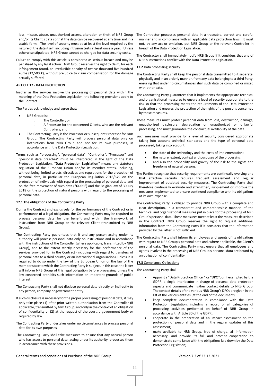loss, misuse, abuse, unauthorised access, alteration or theft of NRB Group and/or its Client's data so that the data can be recovered at any time and in a usable form. The level of security must be at least the level required by the nature of the data itself, including intrusion tests at least once a year. Unless otherwise stipulated, NRB Group cannot be charged for data security costs.

Failure to comply with this article is considered as serious breach and may be penalised by any legal action. NRB Group reserves the right to claim, for each infringement found, an irreducible penalty of twelve thousand five hundred euros (12,500 €), without prejudice to claim compensation for the damage actually suffered.

#### **ARTICLE 17 - DATA PROTECTION**

Insofar as the services involve the processing of personal data within the meaning of the Data Protection Legislation, the following provisions apply to the Contract.

The Parties acknowledge and agree that:

- **NRB** Group is:
	- I. The Controller; or
	- II. A Processor for the concerned Clients, who are the relevant Controllers; and
- The Contracting Party is the Processor or subsequent Processor for NRB Group. The Contracting Party will process personal data only on instructions from NRB Group and not for its own purposes, in accordance with the Data Protection Legislation.
- Terms such as "processing", "personal data", "Controller", "Processor" and "personal data breaches" must be interpreted in the light of the Data Protection Legislation. "**Data Protection Legislation**" means any statutory regulation of the European Union and/or its member states, including, without being limited to acts, directives and regulations for the protection of personal data, in particular the European Regulation 2016/679 on the protection of individuals with regard to the processing of personal data and on the free movement of such data ("**GDPR**") and the Belgian law of 30 July 2018 on the protection of natural persons with regard to the processing of personal data.

## **17.1 The obligations of the Contracting Party**

- During the Contract and exclusively for the performance of the Contract or in performance of a legal obligation, the Contracting Party may be required to process personal data for the benefit and within the framework of instructions from NRB Group or the relevant Client (transmitted by NRB Group).
- The Contracting Party guarantees that it and any person acting under its authority will process personal data only on instructions and in accordance with the instructions of the Controller (where applicable, transmitted by NRB Group), and to the extent strictly necessary for the performance of the services provided for in the Contract (including with regard to transfers of personal data to a third country or an international organisation), unless it is required to do so under the law of the European Union or the law of the member state to which the Contracting Party is subject. In this case, the latter will inform NRB Group of this legal obligation before processing, unless the law concerned prohibits such information on important grounds of public interest.
- The Contracting Party shall not disclose personal data directly or indirectly to any person, company or government entity.
- If such disclosure is necessary for the proper processing of personal data, it may only take place (1) after prior written authorisation from the Controller (if applicable, transmitted by NRB Group) and only in the context of an obligation of confidentiality or (2) at the request of the court, a government body or required by law.
- The Contracting Party undertakes under no circumstances to process personal data for its own purposes.
- The Contracting Party shall take measures to ensure that any natural person who has access to personal data, acting under its authority, processes them in accordance with these provisions.
- The Contractor processes personal data in a traceable, correct and careful manner and in compliance with all applicable data protection laws. It must not, by any act or omission, put NRB Group or the relevant Controller in breach of the Data Protection Legislation.
- The Contractor shall immediately notify NRB Group if it considers that any of NRB's instructions conflict with the Data Protection Legislation.

#### **17.2** Data processing security

- The Contracting Party shall keep the personal data transmitted to it separate, physically and in an orderly manner, from any data belonging to a third Party, ensuring that under no circumstances shall such data be combined or mixed with other data.
- The Contracting Party guarantees that it implements the appropriate technical and organisational measures to ensure a level of security appropriate to the risk so that the processing meets the requirements of the Data Protection Legislation and ensures the protection of the rights of the persons concerned by these measures.
- These measures must protect personal data from loss, destruction, damage, unauthorized disclosure, degradation or unauthorized or unlawful processing, and must guarantee the contractual availability of the data.

Such measures must provide for a level of security considered appropriate taking into account technical standards and the type of personal data processed, taking into account:

- the state of the technology and the costs of implementation;
- the nature, extent, context and purposes of the processing;
- and also the probability and gravity of the risk to the rights and freedoms of natural persons.

The Parties recognize that security requirements are continually evolving and that effective security requires frequent assessment and regular improvement of outdated security measures. The Contracting Party shall therefore continually evaluate and strengthen, supplement or improve the measures implemented to ensure continued compliance with its obligations at its own expense.

- The Contracting Party is obliged to provide NRB Group with a complete and clear description, in a transparent and comprehensible manner, of the technical and organisational measures put in place for the processing of NRB Group's personal data. These measures meet at least the measures described in the Contract. NRB Group reserves the right to request additional information from the Contracting Party if it considers that the information provided by the latter is not sufficient.
- The Contracting Party shall inform its employees and agents of its obligations with regard to NRB Group's personal data and, where applicable, the Client's personal data. The Contracting Party must ensure that all employees and agents involved in the processing of NRB Group's personal data are bound by an obligation of confidentiality.

## **17.3** Compliance Obligations

The Contracting Party shall:

- Appoint a "Data Protection Officer" or "DPO", or if exempted by the GDPR, a single interlocutor in charge of personal data protection aspects and communicate his/her contact details to NRB Group. The contact details of the various NRB Group's DPOs are given in the list of the various entities (at the end of the document).
- keep complete documentation in compliance with the Data Protection Legislation, including a record of all categories of processing activities performed on behalf of NRB Group in accordance with Article 30 of the GDPR ;
- cooperate in the preparation of an impact assessment on the protection of personal data and in the regular updates of this assessment;
- make available to NRB Group, free of charge, all information necessary, and provide its full and prompt cooperation to demonstrate compliance with the obligations laid down by the Data Protection Legislation;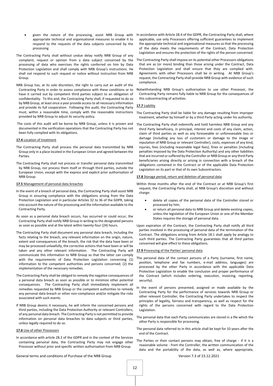- given the nature of the processing, assist NRB Group with appropriate technical and organisational measures to enable it to respond to the requests of the data subjects concerned by the processing
- The Contracting Party shall without undue delay notify NRB Group of any complaint, request or opinion from a data subject concerned by the processing of data who exercises the rights conferred on him by Data Protection Legislation and shall comply with NRB Group's instructions. He shall not respond to such request or notice without instruction from NRB Group.
- NRB Group has, at its sole discretion, the right to carry out an audit of the Contracting Party in order to assess compliance with these conditions or to have it carried out by competent third parties subject to an obligation of confidentiality. To this end, the Contracting Party shall, if requested to do so by NRB Group, at least once a year provide access to all necessary information and provide its full cooperation. Following this audit, the Contracting Party must, within a reasonable time, comply with the reasonable instructions provided by NRB Group to adjust its security policy.
- The costs of this audit will be borne by NRB Group, unless it is proven and documented in the verification operations that the Contracting Party has not been fully complied with its obligations.

#### **17.4** Location of treatment

- The Contracting Party shall process the personal data transmitted by NRB Group only in a place located in the European Union and agreed between the **Parties**
- The Contracting Party shall not process or transfer personal data transmitted by NRB Group, nor process them itself or through third parties, outside the European Union, except with the express and explicit prior authorisation of NRB Group.

#### **17.5** Management of personal data breaches

- In the event of a breach of personal data, the Contracting Party shall assist NRB Group in ensuring compliance with the obligations arising from the Data Protection Legislation and in particular Articles 32 to 36 of the GDPR, taking into account the nature of the processing and the information available to the Contracting Party.
- As soon as a personal data breach occurs, has occurred or could occur, the Contracting Party shall notify NRB Group in writing to the designated persons as soon as possible and at the latest within twenty-four (24) hours.
- The Contracting Party shall document any personal data breach, including the facts relating to the breach, any relevant information on the origin, nature, extent and consequences of the breach, the risk that the data have been or may be processed unlawfully, the corrective actions that have been or will be taken and any other relevant information. The Contracting Party will communicate this information to NRB Group so that the latter can comply with the requirements of Data Protection Legislation concerning (1) information to the competent authorities and persons concerned; (2) the implementation of the necessary remedies.
- The Contracting Party shall be obliged to remedy the negative consequences of a personal data breach as soon as possible or to minimize other potential consequences. The Contracting Party shall immediately implement all remedies requested by NRB Group or the competent authorities to remedy any personal data breach or other non-compliance and/or mitigate the risks associated with such events.
- If NRB Group deems it necessary, he will inform the concerned persons and third parties, including the Data Protection Authority or relevant Controllers, of any personal data breach. The Contracting Party is not permitted to provide information on personal data breaches to data subjects or third parties, unless legally required to do so.

#### **17.6** Use of other Processors

In accordance with article 28.2 of the GDPR and in the context of the Services containing personal data, the Contracting Party may not engage other Processor without prior and specific written authorisation from NRB Group.

- In accordance with Article 28.4 of the GDPR, the Contracting Party shall, where applicable, use only Processors offering sufficient guarantees to implement the appropriate technical and organisational measures so that the processing of the data meets the requirements of the Contract, Data Protection Legislation and ensures the protection of the rights of the person concerned.
- The Contracting Party shall impose on its potential other Processors obligations that are as (or more) binding than those arising under the Contract, Data Protection Legislation and shall ensure that they are complied with. Agreements with other Processors shall be in writing. At NRB Group's request, the Contracting Party shall provide NRB Group with evidence of such compliance.
- Notwithstanding NRB Group's authorisation to use other Processor, the Contracting Party remains fully liable to NRB Group for the consequences of this subcontracting of activities.

#### **17.7** Liability

- The Contracting Party shall be liable for any damage resulting from improper treatment, whether by himself or by a third Party acting under his authority.
- The Contracting Party shall indemnify and hold harmless NRB Group and any third Party beneficiary, in principal, interest and costs of any claim, action, claim of third parties as well as any foreseeable or unforeseeable loss or damage (including any loss of customers or damage to the image or reputation of NRB Group or relevant Controller), costs, expenses of any kind, injuries, fees (including reasonable legal fees), fines or penalties (including penalties imposed by the Data Protection Authority) and any other liabilities that are incurred or suffered by the Controller or NRB Group or any third Party beneficiaries arising directly or arising in connection with a breach of the obligations contained in the Contract or of the applicable Data Protection Legislation on its part or that of its own Subcontractors.

#### **17.8** Storage period, return and deletion of personal data

Within three months after the end of the Contract or at NRB Group's first request, the Contracting Party shall, at NRB Group's discretion and without charge:

- delete all copies of the personal data of the Controller stored or processed by him;
- or return all personal data to NRB Group and delete existing copies, unless the legislation of the European Union or one of the Member States requires the storage of personal data.

Upon expiration of the Contract, the Contracting Party shall notify all third parties involved in the processing of personal data of the termination of the Contract. The obligations arising from Article 18.1 shall apply by analogy to such third parties. The Contracting Party guarantees that all third parties concerned will give effect to these obligations.

#### **17.9** Processing of the Parties' personal data

- The personal data of the contact persons of a Party (surname, first name, position, telephone and fax numbers, e-mail address, languages) are processed by the other Party in accordance with the applicable Data Protection Legislation to enable the conclusion and proper performance of the Contract (which includes ordering, execution, invoicing, reporting, security).
- In the event of persons presented, assigned or made available by the Contracting Party for the performance of services towards NRB Group or other relevant Controller, the Contracting Party undertakes to respect the principles of legality, fairness and transparency, as well as respect for the rights of the persons concerned with regard to the Data Protection Legislation.
- The personal data that each Party communicates are stored in a file which the other Party is responsible for processing.
- The personal data referred to in this article shall be kept for 10 years after the end of the Contract.
- The Parties or their contact persons may obtain, free of charge if it is a reasonable volume - from the Controller, the written communication of the data and the portability of the data, as well as, where appropriate,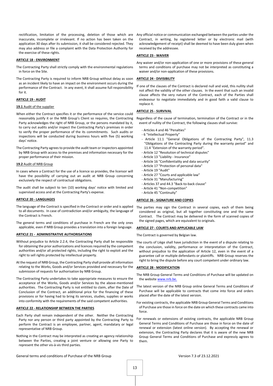rectification, limitation of the processing, deletion of those which are inaccurate, incomplete or irrelevant. If no action has been taken on the application 30 days after its submission, it shall be considered rejected. They may also address or file a complaint with the Data Protection Authority for the exercise of these rights.

#### **ARTICLE 18 - ENVIRONMENT**

- The Contracting Party shall strictly comply with the environmental regulations in force on the Site.
- The Contracting Party is required to inform NRB Group without delay as soon as an incident likely to have an impact on the environment occurs during the performance of the Contract. In any event, it shall assume full responsibility for it.

# **ARTICLE 19 - AUDIT**

#### **19.1** Audit of the supplier

- When either the Contract specifies it or the performance of the service could reasonably justify it or the NRB Group's Client so requires, the Contracting Party acknowledges the right of NRB Group, or the persons mandated by it, to carry out audits and/or inspect the Contracting Party's premises in order to verify the proper performance of the its commitments. Such audits or inspections will be conducted during business hours with five (5) working days' notice.
- The Contracting Party agrees to provide the audit team or inspectors appointed by NRB Group with access to the premises and information necessary for the proper performance of their mission.

#### **19.2** Audit of NRB Group

- In cases where a Contract for the use of a licence so provides, the licensor will have the possibility of carrying out an audit at NRB Group concerning exclusively the respect of contractual obligations.
- The audit shall be subject to ten (10) working days' notice with limited and supervised access and at the Contracting Party's expense.

# **ARTICLE 20 - LANGUAGES**

- The language of the Contract is specified in the Contract or order and is applied to all documents. In case of contradiction and/or ambiguity, the language of the Contract is French.
- The general terms and conditions of purchase in French are the only ones applicable, even if NRB Group provides a translation into a foreign language.

# **ARTICLE 21 - ADMINISTRATIVE AUTHORISATIONS**

- Without prejudice to Article 2.2.4, the Contracting Party shall be responsible for obtaining the prior authorizations and licences required by the competent authorities and/or all protected rights, including the right to exploit and the right to sell rights protected by intellectual property.
- At the request of NRB Group, the Contracting Party shall provide all information relating to the Works, Goods and/or Services provided and necessary for the submission of requests for authorisation by NRB Group.
- The Contracting Party undertakes to take appropriate measures to ensure the acceptance of the Works, Goods and/or Services by the above-mentioned authorities. The Contracting Party is not entitled to claim, after the Date of Conclusion of the Contract, an additional price for the financing of these provisions or for having had to bring its services, studies, supplies or works into conformity with the requirements of the said competent authorities.

#### **ARTICLE 22 - RELATIONSHIP BETWEEN THE PARTIES**

- Each Party shall remain independent of the other. Neither the Contracting Party nor any person or third party appointed by the Contracting Party to perform the Contract is an employee, partner, agent, mandatary or legal representative of NRB Group.
- Nothing in the Contract may be interpreted as creating an agency relationship between the Parties, creating a joint venture or allowing one Party to represent the other vis-à-vis third parties.

Any official notice or communication exchanged between the parties under the Contract, in writing, by registered letter or by electronic mail (with acknowledgement of receipt) shall be deemed to have been duly given when received by the addressee.

# **ARTICLE 23 - WAIVER**

Any waiver and/or non-application of one or more provisions of these general terms and conditions of purchase may not be interpreted as constituting a waiver and/or non-application of these provisions.

# **ARTICLE 24 - DIVISIBILITY**

If one of the clauses of the Contract is declared null and void, this nullity shall not affect the validity of the other clauses. In the event that such an invalid clause affects the very nature of the Contract, each of the Parties shall endeavour to negotiate immediately and in good faith a valid clause to replace it.

# **ARTICLE 25 - SURVIVAL**

Regardless of the cause of termination, termination of the Contract or in the event of nullity of the Contract, the following clauses shall survive:

- Articles 4 and 46 "Penalties"
- 6 "Intellectual Property"
- Article 11.1 "General Obligations of the Contracting Party", 11.3 "Obligations of the Contracting Party during the warranty period" and 11.4 "Extension of the warranty period".
- Article 12 "Resolution of technical disputes"
- Article 13 "Liability Insurance"
- Article 16 "Confidentiality and data security"
- Article 17 "Protection of personal data"
- Article 19 "Audit"
- Article 27 "Courts and applicable law"
- Article 31 "Manufacturing"
- Articles 37 and 44.3 "Back-to-back clause"
- Article 41 "Non-competition"
- Article 45 "Continuity"

#### **ARTICLE 26 - SIGNATURE AND COPIES**

The parties may sign the Contract in several copies, each of them being considered as original, but all together constituting one and the same Contract. The Contract may be delivered in the form of scanned copies of the signed pages, which are equivalent to originals.

#### **ARTICLE 27 - COURTS AND APPLICABLE LAW**

The Contract is governed by Belgian law.

The courts of Liège shall have jurisdiction in the event of a dispute relating to the conclusion, validity, performance or interpretation of the Contract, without prejudice to the application of Article 12, even in the event of a guarantee call or multiple defendants or plaintiffs. NRB Group reserves the right to bring the dispute before any court competent under ordinary law.

#### **ARTICLE 28 - MODIFICATION**

- The NRB Group General Terms and Conditions of Purchase will be updated on the websit[e www.nrb.be.](http://www.nrb.be/)
- The latest version of the NRB Group online General Terms and Conditions of Purchase will be applicable to contracts that come into force and orders placed after the date of the latest version.
- For existing contracts, the applicable NRB Group General Terms and Conditions of Purchase are those in force on the date on which these contracts came into force.
- For renewals or extensions of existing contracts, the applicable NRB Group General Terms and Conditions of Purchase are those in force on the date of renewal or extension (latest online version). By accepting the renewal or extension, the Contracting Party declares that it is aware of the new NRB Group General Terms and Conditions of Purchase and expressly agrees to them.

General terms and conditions of Purchase of the NRB Group Version 7.3 of 23.12.2021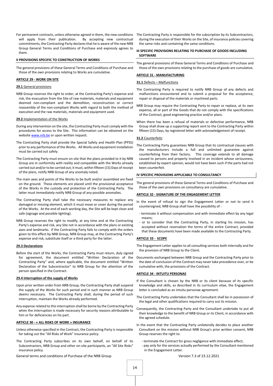For permanent contracts, unless otherwise agreed in them, the new conditions will apply from their publication. By accepting new contractual commitments, the Contracting Party declares that he is aware of the new NRB Group General Terms and Conditions of Purchase and expressly agrees to them.

#### **II PROVISIONS SPECIFIC TO CONSTRUCTION OF WORKS**

The general provisions of these General Terms and Conditions of Purchase and those of the own provisions relating to Works are cumulative.

# **ARTICLE 29 - WORK ON SITE**

# **29.1** General provisions

NRB Group reserves the right to order, at the Contracting Party's expense and risk, the evacuation from the Site of raw materials, materials and equipment deemed non-compliant and the demolition, reconstruction or correct reassembly of the non-compliant Works with regard to both the method of execution and the raw materials, materials and equipment used.

#### **29.2** Implementation of the Works

- During any intervention on the site, the Contracting Party must comply with the procedures for access to the Site. This information can be obtained on the websit[e www.nrb.be](http://www.nrb.be/) or upon written request.
- The Contracting Party shall provide the Special Safety and Health Plan (PPSS) prior to any performance of the Works. All Works and equipment installation must be carried out safely.
- The Contracting Party must ensure on site that the plans provided to it by NRB Group are in conformity with reality and compatible with the Works already carried out and/or to be carried out; it must, within fifteen (15) Days of receipt of the plans, notify NRB Group of any anomaly noted.
- The main axes and points of the Works to be built and/or assembled are fixed on the ground. These elements are placed until the provisional acceptance of the Works in the custody and protection of the Contracting Party. The latter must immediately notify NRB Group of any possible anomalies.
- The Contracting Party shall take the necessary measures to replace any damaged or missing element, which it must move or cover during the period of the Works. At the end of each working day, the Site will be kept clean and safe (signage and possible lighting).
- NRB Group reserves the right to modify, at any time and at the Contracting Party's expense and risk, any Site not in accordance with the plans or existing axes and landmarks. If the Contracting Party fails to comply with the orders given to this effect by NRB Group, NRB Group may, at the Contracting Party's expense and risk, substitute itself or a third party for the latter.

#### **29.3 Declarations**

Before the start of the Works, the Contracting Party must return, duly signed for agreement, the document entitled "Written Declaration of the Contracting Party" and, where applicable, the document entitled "Written Declaration of the Subcontractor" to NRB Group for the attention of the person specified in the Contract.

## **29.4 Interruption of the supply of Works**

- Upon prior written order from NRB Group, the Contracting Party shall suspend the supply of the Works for such period and in such manner as NRB Group deems necessary. The Contracting Party shall, during the period of such interruption, maintain the Works already performed.
- Any expense related to this interruption shall be borne by the Contracting Party when the interruption is made necessary for security reasons attributable to him or for deficiencies on his part.

#### **ARTICLE 30 - « ALL RISKS OF WORK » INSURANCE**

- Unless otherwise specified in the Contract, the Contracting Party is responsible for taking out the "All Risks of Work" insurance policy.
- The Contracting Party subscribes on its own behalf, on behalf of its Subcontractors, NRB Group and other on-site participants, an "All Site Risks" insurance policy.

General terms and conditions of Purchase of the NRB Group Version 7.3 of 23.12.2021

The Contracting Party is responsible for the subscription by its Subcontractors, during the execution of their Works on the Site, of insurance policies covering the same risks and containing the same conditions.

#### **III SPECIFIC PROVISIONS RELATING TO PURCHASE OF GOODS INCLUDING SOFTWARE**

The general provisions of these General Terms and Conditions of Purchase and those of the own provisions relating to the purchase of goods are cumulative.

# **ARTICLE 31 - MANUFACTURING**

## **31.1** Defects – Malfunctions

- The Contracting Party is required to notify NRB Group of any defects and malfunctions encountered and to submit a proposal for the acceptance, repair or disposal of the materials or machined parts.
- NRB Group may require the Contracting Party to repair or replace, at its own expense, all or part of the Goods that do not comply with the specifications of the Contract, good engineering practice and/or plans.
- When there has been a refusal of materials or defective performance, NRB Group shall draw up a supporting report sent to the Contracting Party within fifteen (15) Days, by registered letter with acknowledgement of receipt.

# **31.2** Counterfeits

The Contracting Party guarantees NRB Group that its contractual clauses with the manufacturers include a full and unlimited guarantee against counterfeiting from their factory. This coverage extends to all damage caused to persons and property involved in an incident whose seriousness, established by expert opinion, would not have been such if the parts had not been counterfeit.

#### **IV SPECIFIC PROVISIONS APPLICABLE TO CONSULTANCY**

The general provisions of these General Terms and Conditions of Purchase and those of the own provisions on consultancy are cumulative.

#### **ARTICLE 32 - SIGNATURE OF THE ENGAGEMENT LETTER**

In the event of refusal to sign the Engagement Letter or not to send it countersigned, NRB Group shall have the possibility of :

- terminate it without compensation and with immediate effect by any legal means;
- or to consider that the Contracting Party, in starting his mission, has accepted without reservation the terms of the entire Contract, provided that these documents have been made available to the Contracting Party.

#### **ARTICLE 33 - SCOPE**

The Engagement Letter applies to all consulting services both internally and for the provision of NRB Group to the Client.

Documents exchanged between NRB Group and the Contracting Party prior to the date of conclusion of the Contract may never take precedence over, or be cumulative with, the provisions of the Contract.

# **ARTICLE 34 - INTUITU PERSONAE**

- If the Consultant is chosen by the NRB or its client because of its specific knowledge and skills, as described in its curriculum vitae, the Engagement letter is concluded as an intuitu personae agreement.
- The Contracting Party undertakes that the Consultant shall be in possession of the legal and other qualifications required to carry out its mission.
- Consequently, the Contracting Party and the Consultant undertake to put all their knowledge to the benefit of NRB Group or its Client, in accordance with the agreed schedule.
- In the event that the Contracting Party unilaterally decides to place another Consultant on the mission without NRB Group's prior written consent, NRB Group reserves the right to:
	- terminate the Contract for gross negligence with immediate effect;
	- pay only for the services actually performed by the Consultant mentioned in the Engagement Letter.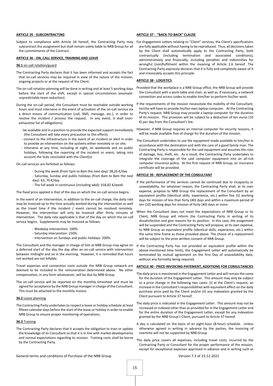#### **ARTICLE 35 - SUBCONTRACTING**

Subject to compliance with Article 34 hereof, the Contracting Party may subcontract the assignment but shall remain solely liable to NRB Group for all the commitments of the Contract..

## **ARTICLE 36 - ON\_CALL SERVICE, TRAINING AND LEAVE**

# **36.1** on-call rotation/guard

- The Contracting Party declares that it has been informed and accepts the fact that on-call services may be required in view of the nature of the mission, ongoing projects or at the request of the Client.
- The on-call rotation planning will be done in writing and at least 5 working days before the start of the shift, except in special circumstances (example: unpredictable team reduction).
- During the on-call period, the Consultant must be reachable outside working hours and must intervene in the event of activation of the on-call service via a direct means of communication (call, SMS, message, etc.), in order to resolve the incident / process the request. In any event, it shall (nonexhaustive list of obligations):
	- be available and in a position to provide the expected support immediately (the Consultant will take every precaution to this effect);
	- connect to the infrastructure in the event of an incident or alert in order to provide an intervention on the systems either remotely or on site;
	- intervene at any time, including at night, on weekends and on public holidays, following the reporting of the incident or event, taking into account the SLAs concluded with the Client(s).

#### On-call services are forfeited as follows:

- During the week (from 5pm to 8am the next day): 38,26 €/day - Saturday, Sunday and public holidays (from 8am to 8am the next **ARTICLE 39 - REPLACEMENT OF THE CONSULTANT**
- day): 63, 70 €/day
- The full week in continuous (including wkd): 318,82 €/week

The fixed price applied is that of the day on which the on-call service begins.

In the event of an intervention, in addition to the on-call charge, the daily rate may be invoiced up to the time actually worked during the intervention as well as the travel time if the incident / event cannot be resolved remotely. However, the intervention will only be invoiced after thirty minutes of intervention. The daily rate applicable is that of the day on which the on-call service begins. Supplements may be invoiced as follows:

- Weekday intervention: 100%.
- Saturday intervention: 150%.
- Intervention on Sundays and public holidays: 200%.

The Consultant and the manager in charge of him at NRB Group may agree on a deferred start of the day the day after an on-call service with intervention between midnight and six in the morning. However, it is reminded that hours not worked are not billable.

Travel expenses and connection costs outside the NRB Group network are deemed to be included in the remuneration determined above. No other compensation, in any form whatsoever, will be due by NRB Group.

The on-call service will be reported on the monthly timesheet and must be signed for acceptance by the NRB Group manager in charge of the Consultant. This must be attached to the monthly invoice.

#### **36.2** Leave planning

The Contracting Party undertakes to respect a leave or holiday schedule at least fifteen calendar days before the start of the leave or holiday in order to enable NRB Group to ensure proper monitoring of operations.

#### **36.3** Training

The Contracting Party declares that it accepts the obligation to train or update the knowledge of its Consultant so that it is in line with market developments and normal expectations regarding its mission. Training costs shall be borne by the Contracting Party.

#### **ARTICLE 37 - "BACK-TO-BACK" CLAUSE**

For Engagement Letters relating to "Client" services, the Client's specifications are fully applicable without having to be reproduced. Thus, all decisions taken by the Client shall automatically apply to the Contracting Party, both contractually (including termination and associated conditions), administratively and financially, including penalties and indemnities for wrongful (non)fulfilment within the meaning of Article 2.6 hereof. The Contracting Party expressly declares that it is fully and completely aware of it and irrevocably accepts this principle.

#### **ARTICLE 38 - LOGISTICS**

- Provided that the workplace is a NRB Group office, the NRB Group will provide the Consultant with a work table and chair, as well as, if necessary, a network connection and access codes to enable him/her to perform his/her work.
- If the requirements of the mission necessitate the mobility of the Consultant, he/she will have to provide his/her own laptop computer. At the Contracting Party's request, NRB Group may provide a laptop computer for the duration of its mission. This provision will be subject to a deduction of ten euros (10 €) per day from the Consultant's fee.
- However, if NRB Group requires an internal computer for security reasons, it will be made available free of charge for the duration of the mission.
- The Consultant undertakes to use the equipment made available to him/her in accordance with the destination and with the care of a good family man. The Contracting Party is responsible for the said equipment and assumes the risks of damage, loss, theft, etc. As a result, the Contracting Party undertakes to integrate the coverage of the said computer equipment into an all-risk computer insurance policy. At the first request of NRB Group, an insurance certificate will be provided.

- If the performance of the services cannot be continued due to incapacity or unavailability, for whatever reason, the Contracting Party shall, at its own expense, propose to NRB Group the replacement of the Consultant by an equivalent profile (identical skills, experience, etc.) within five (5) working days for mission of less than forty (40) days and within a maximum period of ten (10) working days for mission of forty (40) days or more.
- When the Consultant does not meet the expectations of NRB Group or its Client, NRB Group will inform the Contracting Party in writing of its dissatisfaction and give reasons for its position. In this case, the assignment will be suspended and the Contracting Party will propose, at its own expense, to NRB Group an equivalent profile (identical skills, experience, etc.) within the same time frame as those provided above. The choice of a replacement will be subject to the prior written consent of NRB Group.
- If the Contracting Party has not provided an equivalent profile within the above-mentioned time limits, the Engagement Letter will automatically be terminated by mutual agreement on the first Day of unavailability date, without any formality being required.

## **ARTICLE 40 - PRICE-INVOICING-PAYEMENT, ADDITIONS FOR CONSULTANCIES**

- The daily price is mentioned in the Engagement Letter and will remain the same for the duration of the Engagement Letter. This amount may only be subject to a price change in the following two cases: (i) at the Client's request, an increase in the Consultant's responsibilities with equivalent effect on the daily purchase price paid by the Client and/or (ii) any indexation granted by the Client pursuant to Article 37 hereof.
- The daily price is indicated in the Engagement Letter. This amount may not be increased or indexed other than as provided for in the Engagement Letter and for the entire duration of the Engagement Letter, except for any indexation granted by the NRB Group's Client, pursuant to Article 37 hereof.
- A day is calculated on the basis of an eight-hour (8-hour) schedule. Unless otherwise agreed in writing in advance by the parties, the invoicing of overtime will not be supported by NRB Group
- The daily price covers all expenses, including travel costs, incurred by the Contracting Party or Consultant for the proper performance of the mission, except for exceptional expenses approved in advance and in writing such as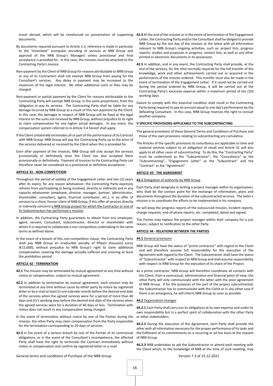documents.

- By documents required pursuant to Article 5.3, reference is made in particular to the "timesheet" (computer encoding of services at NRB Group and approval of the NRB Group's Manager) unless provisional and final acceptance is provided for. In this case, the minutes must be attached to the Contracting Party's invoice.
- Non-payment by the Client of NRB Group for reasons attributable to NRB Group or any of its Contractors shall not exempt NRB Group from paying for the Consultant's services. Any delay in payment may be increased to the maximum of the legal interest. No other additional costs or fees may be charged.
- Non-payment or partial payment by the Client for reasons attributable to the Contracting Party will exempt NRB Group, in the same proportions, from the obligation to pay its services. The Contracting Party shall be liable for any damage incurred by NRB Group as a result of this non-payment by the Client. In this case, the damages in respect of NRB Group will be fixed at the legal interest on the sums not received by NRB Group, without prejudice to its right to claim compensation for any higher actual damages. In any event, the compensation system referred to in Article 5.4 hereof shall apply.
- If the Client unilaterally terminates all or part of the performance of its Contract with NRB Group, NRB Group will pay the Contracting Party up to the price of the services delivered or received by the Client when this is provided for.
- Even after payment of the invoices, NRB Group will only accept the services provisionally or definitively once the Client has also accepted them provisionally or definitively. Payment of invoices to the Contracting Party can therefore never be considered as a provisional or definitive acceptance.

# **ARTICLE 41 - NON-COMPETITION**

- Throughout the period of validity of the Engagement Letter and two (2) years after its expiry, for any reason whatsoever, the Contracting Party expressly refrains from participating or being involved, directly or indirectly and in any capacity whatsoever (employee, director, manager, partner, administrator, shareholder, consultant, agent, financial contributor, etc.), in an offer of services to a client, former client of NRB Group, if this offer of services directly or indirectly concerns a NRB Group project for which the Contractor or one of its Subcontractors has performed a mission.
- In addition, the Contracting Party guarantees to obtain from any employee, agent, servant, Consultant, Subcontractor, director or shareholder with whom it is required to collaborate a non-competition undertaking in the same terms as defined above.
- In the event of a breach of this non-competition clause, the Contracting Party shall pay NRB Group an irreducible penalty of fifteen thousand euros (€15,000), without prejudice to NRB Group's right to claim additional compensation covering the damage actually suffered and covering at least the prohibition period.

#### **ARTICLE 42 - TERMINATION**

- notice or compensation, subject to mutual agreement.
- **42.2** In addition to termination by mutual agreement, each mission may be terminated at any time without cause by either party by notice by registered letter or by e-mail at least (i) one calendar month before the desired end date of the services when the agreed services were for a period of more than 40 days and (ii) 5 working days before the desired end date of the services when the agreed services were for a duration of 40 days or less. Termination with notice does not result in any compensation being charged.
- In the event of termination without notice by one of the Parties during the mission, the other Party may claim compensation from the Party responsible for the termination corresponding to 20 days of services.
- **42.3** In the event of a serious breach by one of the Parties of its contractual obligations, or in the event of the Consultant's incompetence, the affected Party shall have the right to terminate the Contract immediately without notice or compensation and confirm by registered letter or e-mail.
- travel abroad, which will be reimbursed on presentation of supporting 42.4 At the end of the mission or in the event of termination of the Engagement Letter, the Contracting Party and/or the Consultant shall be obliged to provide NRB Group by the last day of the mission at the latest with all information relevant to NRB Group's ongoing activities, such as: project lists, progress reports, studies and proposals in progress, contact lists, as well as any other printed or electronic documents in its possession.
	- **42.5** In addition, and in any event, the Contracting Party shall provide, at the end of the services, for the time normally required for the full transfer of the knowledge, work and other achievements carried out or acquired in the performance of the mission ordered. This transfer must also be made in the event of termination of the Engagement Letter. If it could not be carried out during the period ordered by NRB Group, it will be carried out at the Contracting Party's exclusive expense within a maximum period of ten (10) working days.
	- Failure to comply with this essential condition shall result in the Contracting Party being required to pay an amount equal to one day's performance by the defaulting Consultant. In this case, NRB Group reserves the right to consult another company.

#### **V SPECIFIC PROVISIONS APPLICABLE TO THE SUBCONTRACTING**

The general provisions of these General Terms and Conditions of Purchase and those of the own provisions relating to subcontracting are cumulative.

The Articles of the specific provisions to consultancy are applicable to time and material services subject to an obligation of result and Article 41 will also apply to all other cases of subcontracting. To do this, the "Contracting Party" must be understood as the "Subcontractor", the "Consultancy" as the "Subcontracting", "Engagement Letter" as the "Subcontract" and the "Contract" as the "Agreement".

# **ARTICLE 43 - THE AGREEMENT**

#### **43.1** Delegation of authority by NRB Group

Each Party shall designate in writing a project manager within its organisation, who shall be the contact point for the exchange of information, plans and documents throughout the duration of the subcontracted services. The latter's mission is to coordinate the efforts to be implemented in his company.

He will keep the progress reports of the outsourced mission, incident reports, change requests, end-of-phase reports, etc. completed, dated and signed.

The Parties may replace the project manager within their company for a just reason, subject to notification to the other Party.

## **ARTICLE 44 - RELATIONS BETWEEN THE PARTIES**

#### **44.1** General provisions

- NRB Group will have the status of "prime contractor" with regard to the Client and will therefore assume full responsibility for the execution of the Agreement with regard to the Client. The Subcontractor shall have the status of "Subcontractor" with respect to NRB Group and shall assume responsibility with respect to NRB Group for the execution of its share of the Project.
- 42.1 The mission may be terminated by mutual agreement at any time without As a prime contractor, NRB Group will therefore coordinate all contacts with the Client, from a contractual, administrative and financial point of view; the other Party will only communicate with the latter with the prior agreement of NRB Group. If for the purposes of the part of the project subcontracted, the Subcontractor has to communicate with the Client or in any other case if there is an emergency, he will inform NRB Group as soon as possible.

#### **44.2** Organisation-changes

**44.2.1** Each Party shall carry out its obligations at its own expense and under its own responsibility but in a perfect spirit of collaboration with the other Party or other stakeholders.

**44.2.2** During the execution of the Agreement, each Party shall provide the other with all information necessary for the proper performance of its tasks and the fulfilment of its commitments on a recurring or ad hoc basis at the request of NRB Group.

**44.2.3** NRB undertakes to ask the Subcontractor to attend each meeting with the Client which, to the knowledge of NRB at the time of such meeting, may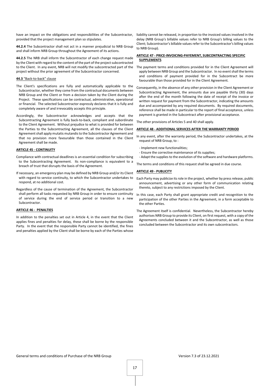have an impact on the obligations and responsibilities of the Subcontractor, provided that the project management plan so stipulates.

**44.2.4** The Subcontractor shall not act in a manner prejudicial to NRB Group and shall inform NRB Group throughout the Agreement of its actions.

**44.2.5** The NRB shall inform the Subcontractor of each change request made by the Client with regard to the content of the part of the project subcontracted to the Client. In any event, NRB will not modify the subcontracted part of the project without the prior agreement of the Subcontractor concerned.

# **44.3** "Back-to-back" clause

- The Client's specifications are fully and automatically applicable to the Subcontractor, whether they come from the contractual documents between NRB Group and the Client or from a decision taken by the Client during the Project. These specifications can be contractual, administrative, operational or financial. The selected Subcontractor expressly declares that it is fully and completely aware of and irrevocably accepts this principle.
- Accordingly, the Subcontractor acknowledges and accepts that the Subcontracting Agreement is fully back-to-back, compliant and subordinate to the Client Agreement. Without prejudice to what is provided for between the Parties to the Subcontracting Agreement, all the clauses of the Client Agreement shall apply mutatis mutandis to the Subcontractor Agreement and that no provision more favourable than those contained in the Client Agreement shall be made.

# **ARTICLE 45 - CONTINUITY**

- Compliance with contractual deadlines is an essential condition for subscribing to the Subcontracting Agreement. Its non-compliance is equivalent to a breach of trust that disrupts the basis of the Agreement.
- If necessary, an emergency plan may be defined by NRB Group and/or its Client with regard to service continuity, to which the Subcontractor undertakes to respond, at no additional cost.
- Regardless of the cause of termination of the Agreement, the Subcontractor shall perform all tasks requested by NRB Group in order to ensure continuity of service during the end of service period or transition to a new Subcontractor.

# **ARTICLE 46 - PENALTIES**

In addition to the penalties set out in Article 4, in the event that the Client applies fines and penalties for delay, these shall be borne by the responsible Party. In the event that the responsible Party cannot be identified, the fines and penalties applied by the Client shall be borne by each of the Parties whose

liability cannot be released, in proportion to the invoiced values involved in the delay (NRB Group's billable values refer to NRB Group's billing values to the Client; Subcontractor's billable values refer to the Subcontractor's billing values to NRB Group).

# **ARTICLE 47 - PRICE-INVOICING-PAYEMENT, SUBCONTRACTING SPECIFIC SUPPLEMENTS**

- The payment terms and conditions provided for in the Client Agreement will apply between NRB Group and the Subcontractor. In no event shall the terms and conditions of payment provided for in the Subcontract be more favourable than those provided for in the Client Agreement.
- Consequently, in the absence of any other provision in the Client Agreement or Subcontracting Agreement, the amounts due are payable thirty (30) days after the end of the month following the date of receipt of the invoice or written request for payment from the Subcontractor, indicating the amounts due and accompanied by any required documents. By required documents, reference shall be made in particular to the report of final acceptance, unless payment is granted in the Subcontract after provisional acceptance.

The other provisions of Articles 5 and 40 shall apply.

# **ARTICLE 48 - ADDITIONAL SERVICES AFTER THE WARRANTY PERIOD**

- In any event, after the warranty period, the Subcontractor undertakes, at the request of NRB Group, to :
- Implement new functionalities;
- Ensure the corrective maintenance of its supplies;
- Adapt the supplies to the evolution of the software and hardware platforms.

The terms and conditions of this request shall be agreed in due course.

# **ARTICLE 49 - PUBLICITY**

- Each Party may publicize its role in the project, whether by press release, public announcement, advertising or any other form of communication relating thereto, subject to any restrictions imposed by the Client.
- In this case, each Party shall grant appropriate credit and recognition to the participation of the other Parties in the Agreement, in a form acceptable to the other Parties.
- The Agreement itself is confidential. Nevertheless, the Subcontractor hereby authorises NRB Group to provide its Client, on first request, with a copy of the Agreements concluded between it and the Subcontractor, as well as those concluded between the Subcontractor and its own subcontractors.